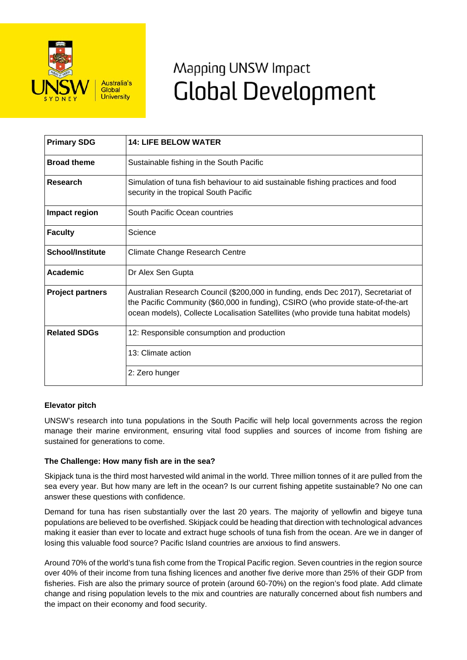

# Mapping UNSW Impact **Global Development**

| <b>Primary SDG</b>      | <b>14: LIFE BELOW WATER</b>                                                                                                                                                                                                                                |
|-------------------------|------------------------------------------------------------------------------------------------------------------------------------------------------------------------------------------------------------------------------------------------------------|
| <b>Broad theme</b>      | Sustainable fishing in the South Pacific                                                                                                                                                                                                                   |
| Research                | Simulation of tuna fish behaviour to aid sustainable fishing practices and food<br>security in the tropical South Pacific                                                                                                                                  |
| Impact region           | South Pacific Ocean countries                                                                                                                                                                                                                              |
| <b>Faculty</b>          | Science                                                                                                                                                                                                                                                    |
| <b>School/Institute</b> | <b>Climate Change Research Centre</b>                                                                                                                                                                                                                      |
| <b>Academic</b>         | Dr Alex Sen Gupta                                                                                                                                                                                                                                          |
| <b>Project partners</b> | Australian Research Council (\$200,000 in funding, ends Dec 2017), Secretariat of<br>the Pacific Community (\$60,000 in funding), CSIRO (who provide state-of-the-art<br>ocean models), Collecte Localisation Satellites (who provide tuna habitat models) |
| <b>Related SDGs</b>     | 12: Responsible consumption and production                                                                                                                                                                                                                 |
|                         | 13: Climate action                                                                                                                                                                                                                                         |
|                         | 2: Zero hunger                                                                                                                                                                                                                                             |

## **Elevator pitch**

UNSW's research into tuna populations in the South Pacific will help local governments across the region manage their marine environment, ensuring vital food supplies and sources of income from fishing are sustained for generations to come.

### **The Challenge: How many fish are in the sea?**

Skipjack tuna is the third most harvested wild animal in the world. Three million tonnes of it are pulled from the sea every year. But how many are left in the ocean? Is our current fishing appetite sustainable? No one can answer these questions with confidence.

Demand for tuna has risen substantially over the last 20 years. The majority of yellowfin and bigeye tuna populations are believed to be overfished. Skipjack could be heading that direction with technological advances making it easier than ever to locate and extract huge schools of tuna fish from the ocean. Are we in danger of losing this valuable food source? Pacific Island countries are anxious to find answers.

Around 70% of the world's tuna fish come from the Tropical Pacific region. Seven countries in the region source over 40% of their income from tuna fishing licences and another five derive more than 25% of their GDP from fisheries. Fish are also the primary source of protein (around 60-70%) on the region's food plate. Add climate change and rising population levels to the mix and countries are naturally concerned about fish numbers and the impact on their economy and food security.